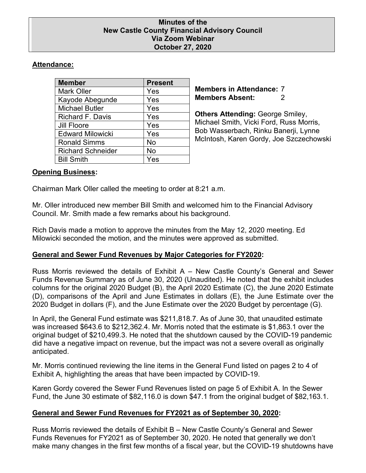### **Minutes of the New Castle County Financial Advisory Council Via Zoom Webinar October 27, 2020**

# **Attendance:**

| <b>Member</b>            | <b>Present</b> |
|--------------------------|----------------|
| <b>Mark Oller</b>        | Yes            |
| Kayode Abegunde          | Yes            |
| <b>Michael Butler</b>    | Yes            |
| <b>Richard F. Davis</b>  | Yes            |
| <b>Jill Floore</b>       | Yes            |
| <b>Edward Milowicki</b>  | Yes            |
| <b>Ronald Simms</b>      | No             |
| <b>Richard Schneider</b> | No             |
| <b>Bill Smith</b>        | Yes            |

**Members in Attendance:** 7 **Members Absent:** 2

**Others Attending:** George Smiley, Michael Smith, Vicki Ford, Russ Morris, Bob Wasserbach, Rinku Banerji, Lynne McIntosh, Karen Gordy, Joe Szczechowski

## **Opening Business:**

Chairman Mark Oller called the meeting to order at 8:21 a.m.

Mr. Oller introduced new member Bill Smith and welcomed him to the Financial Advisory Council. Mr. Smith made a few remarks about his background.

Rich Davis made a motion to approve the minutes from the May 12, 2020 meeting. Ed Milowicki seconded the motion, and the minutes were approved as submitted.

## **General and Sewer Fund Revenues by Major Categories for FY2020:**

Russ Morris reviewed the details of Exhibit A – New Castle County's General and Sewer Funds Revenue Summary as of June 30, 2020 (Unaudited). He noted that the exhibit includes columns for the original 2020 Budget (B), the April 2020 Estimate (C), the June 2020 Estimate (D), comparisons of the April and June Estimates in dollars (E), the June Estimate over the 2020 Budget in dollars (F), and the June Estimate over the 2020 Budget by percentage (G).

In April, the General Fund estimate was \$211,818.7. As of June 30, that unaudited estimate was increased \$643.6 to \$212,362.4. Mr. Morris noted that the estimate is \$1,863.1 over the original budget of \$210,499.3. He noted that the shutdown caused by the COVID-19 pandemic did have a negative impact on revenue, but the impact was not a severe overall as originally anticipated.

Mr. Morris continued reviewing the line items in the General Fund listed on pages 2 to 4 of Exhibit A, highlighting the areas that have been impacted by COVID-19.

Karen Gordy covered the Sewer Fund Revenues listed on page 5 of Exhibit A. In the Sewer Fund, the June 30 estimate of \$82,116.0 is down \$47.1 from the original budget of \$82,163.1.

## **General and Sewer Fund Revenues for FY2021 as of September 30, 2020:**

Russ Morris reviewed the details of Exhibit B – New Castle County's General and Sewer Funds Revenues for FY2021 as of September 30, 2020. He noted that generally we don't make many changes in the first few months of a fiscal year, but the COVID-19 shutdowns have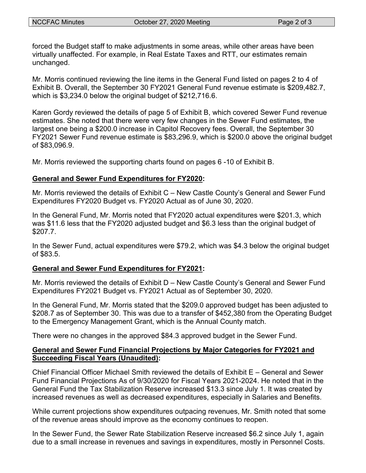forced the Budget staff to make adjustments in some areas, while other areas have been virtually unaffected. For example, in Real Estate Taxes and RTT, our estimates remain unchanged.

Mr. Morris continued reviewing the line items in the General Fund listed on pages 2 to 4 of Exhibit B. Overall, the September 30 FY2021 General Fund revenue estimate is \$209,482.7, which is \$3,234.0 below the original budget of \$212,716.6.

Karen Gordy reviewed the details of page 5 of Exhibit B, which covered Sewer Fund revenue estimates. She noted that there were very few changes in the Sewer Fund estimates, the largest one being a \$200.0 increase in Capitol Recovery fees. Overall, the September 30 FY2021 Sewer Fund revenue estimate is \$83,296.9, which is \$200.0 above the original budget of \$83,096.9.

Mr. Morris reviewed the supporting charts found on pages 6 -10 of Exhibit B.

## **General and Sewer Fund Expenditures for FY2020:**

Mr. Morris reviewed the details of Exhibit C – New Castle County's General and Sewer Fund Expenditures FY2020 Budget vs. FY2020 Actual as of June 30, 2020.

In the General Fund, Mr. Morris noted that FY2020 actual expenditures were \$201.3, which was \$11.6 less that the FY2020 adjusted budget and \$6.3 less than the original budget of \$207.7.

In the Sewer Fund, actual expenditures were \$79.2, which was \$4.3 below the original budget of \$83.5.

### **General and Sewer Fund Expenditures for FY2021:**

Mr. Morris reviewed the details of Exhibit D – New Castle County's General and Sewer Fund Expenditures FY2021 Budget vs. FY2021 Actual as of September 30, 2020.

In the General Fund, Mr. Morris stated that the \$209.0 approved budget has been adjusted to \$208.7 as of September 30. This was due to a transfer of \$452,380 from the Operating Budget to the Emergency Management Grant, which is the Annual County match.

There were no changes in the approved \$84.3 approved budget in the Sewer Fund.

## **General and Sewer Fund Financial Projections by Major Categories for FY2021 and Succeeding Fiscal Years (Unaudited):**

Chief Financial Officer Michael Smith reviewed the details of Exhibit E – General and Sewer Fund Financial Projections As of 9/30/2020 for Fiscal Years 2021-2024. He noted that in the General Fund the Tax Stabilization Reserve increased \$13.3 since July 1. It was created by increased revenues as well as decreased expenditures, especially in Salaries and Benefits.

While current projections show expenditures outpacing revenues, Mr. Smith noted that some of the revenue areas should improve as the economy continues to reopen.

In the Sewer Fund, the Sewer Rate Stabilization Reserve increased \$6.2 since July 1, again due to a small increase in revenues and savings in expenditures, mostly in Personnel Costs.